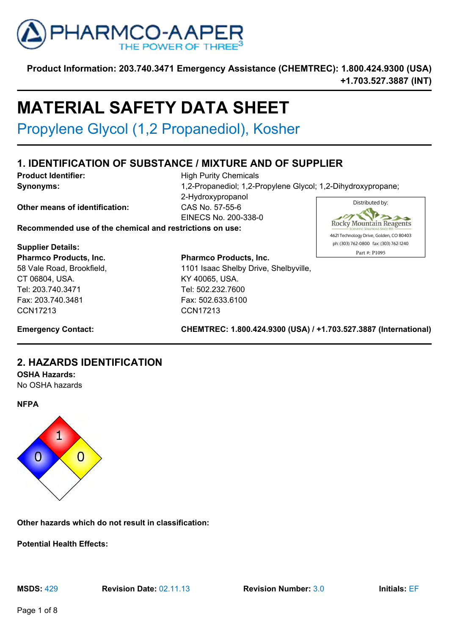

# **MATERIAL SAFETY DATA SHEET**

Propylene Glycol (1,2 Propanediol), Kosher

# **1. IDENTIFICATION OF SUBSTANCE / MIXTURE AND OF SUPPLIER**

**Product Identifier:** High Purity Chemicals **Synonyms:**  $\bullet$  1,2-Propanediol; 1,2-Propylene Glycol; 1,2-Dihydroxypropane; 2-Hydroxypropanol Distributed by: **Other means of identification:** CAS No. 57-55-6 T B EINECS No. 200-338-0

**Recommended use of the chemical and restrictions on use:**

**Supplier Details: Pharmco Products, Inc.** 58 Vale Road, Brookfield, CT 06804, USA. Tel: 203.740.3471 Fax: 203.740.3481 CCN17213

**Pharmco Products, Inc.** 1101 Isaac Shelby Drive, Shelbyville, KY 40065, USA. Tel: 502.232.7600 Fax: 502.633.6100 CCN17213



**Emergency Contact: CHEMTREC: 1.800.424.9300 (USA) / +1.703.527.3887 (International)**

# **2. HAZARDS IDENTIFICATION**

**OSHA Hazards:**

No OSHA hazards



**Other hazards which do not result in classification:**

**Potential Health Effects:**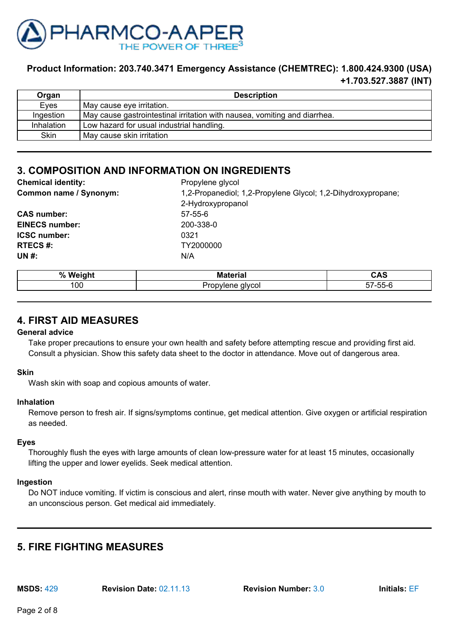

| Organ             | <b>Description</b>                                                        |
|-------------------|---------------------------------------------------------------------------|
| Eyes              | May cause eye irritation.                                                 |
| Ingestion         | May cause gastrointestinal irritation with nausea, vomiting and diarrhea. |
| <b>Inhalation</b> | Low hazard for usual industrial handling.                                 |
| <b>Skin</b>       | May cause skin irritation                                                 |

# **3. COMPOSITION AND INFORMATION ON INGREDIENTS**

| <b>Chemical identity:</b> | Propylene glycol                                             |
|---------------------------|--------------------------------------------------------------|
| Common name / Synonym:    | 1,2-Propanediol; 1,2-Propylene Glycol; 1,2-Dihydroxypropane; |
|                           | 2-Hydroxypropanol                                            |
| <b>CAS number:</b>        | $57 - 55 - 6$                                                |
| <b>EINECS number:</b>     | 200-338-0                                                    |
| <b>ICSC number:</b>       | 0321                                                         |
| <b>RTECS#:</b>            | TY2000000                                                    |
| UN #:                     | N/A                                                          |
|                           |                                                              |

| %   | . .         | $\ddot{\phantom{1}}$ |
|-----|-------------|----------------------|
| w.  | ----        | --                   |
| 100 | 11 V C<br>w | $- -$<br>--<br>┒_    |

# **4. FIRST AID MEASURES**

#### **General advice**

Take proper precautions to ensure your own health and safety before attempting rescue and providing first aid. Consult a physician. Show this safety data sheet to the doctor in attendance. Move out of dangerous area.

### **Skin**

Wash skin with soap and copious amounts of water.

### **Inhalation**

Remove person to fresh air. If signs/symptoms continue, get medical attention. Give oxygen or artificial respiration as needed.

### **Eyes**

Thoroughly flush the eyes with large amounts of clean low-pressure water for at least 15 minutes, occasionally lifting the upper and lower eyelids. Seek medical attention.

#### **Ingestion**

Do NOT induce vomiting. If victim is conscious and alert, rinse mouth with water. Never give anything by mouth to an unconscious person. Get medical aid immediately.

# **5. FIRE FIGHTING MEASURES**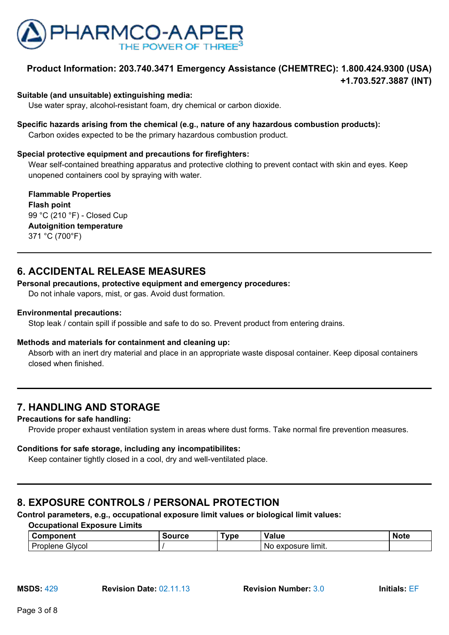

#### **Suitable (and unsuitable) extinguishing media:**

Use water spray, alcohol-resistant foam, dry chemical or carbon dioxide.

### **Specific hazards arising from the chemical (e.g., nature of any hazardous combustion products):**

Carbon oxides expected to be the primary hazardous combustion product.

#### **Special protective equipment and precautions for firefighters:**

Wear self-contained breathing apparatus and protective clothing to prevent contact with skin and eyes. Keep unopened containers cool by spraying with water.

**Flammable Properties Flash point** 99 °C (210 °F) - Closed Cup **Autoignition temperature** 371 °C (700°F)

# **6. ACCIDENTAL RELEASE MEASURES**

#### **Personal precautions, protective equipment and emergency procedures:**

Do not inhale vapors, mist, or gas. Avoid dust formation.

#### **Environmental precautions:**

Stop leak / contain spill if possible and safe to do so. Prevent product from entering drains.

#### **Methods and materials for containment and cleaning up:**

Absorb with an inert dry material and place in an appropriate waste disposal container. Keep diposal containers closed when finished.

# **7. HANDLING AND STORAGE**

#### **Precautions for safe handling:**

Provide proper exhaust ventilation system in areas where dust forms. Take normal fire prevention measures.

#### **Conditions for safe storage, including any incompatibilites:**

Keep container tightly closed in a cool, dry and well-ventilated place.

# **8. EXPOSURE CONTROLS / PERSONAL PROTECTION**

**Control parameters, e.g., occupational exposure limit values or biological limit values:**

**Occupational Exposure Limits**

| ำnent<br>∶∩mn              | ™urce | Tvpe | Value                    | . .<br>Not∈ |
|----------------------------|-------|------|--------------------------|-------------|
| -<br>Givcol<br>⊃r<br>orene |       |      | limit.<br>oosure '<br>No |             |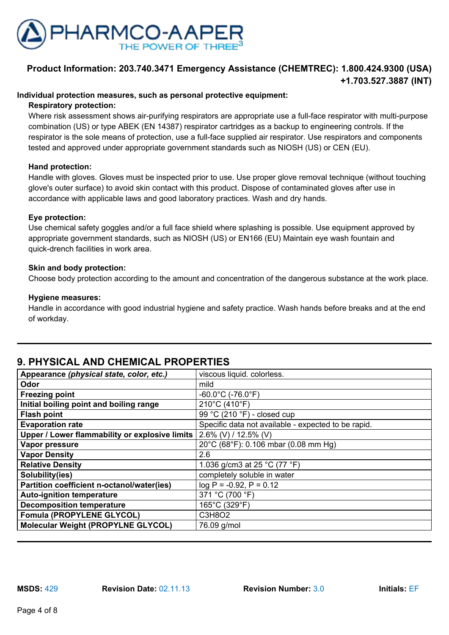

### **Individual protection measures, such as personal protective equipment:**

#### **Respiratory protection:**

Where risk assessment shows air-purifying respirators are appropriate use a full-face respirator with multi-purpose combination (US) or type ABEK (EN 14387) respirator cartridges as a backup to engineering controls. If the respirator is the sole means of protection, use a full-face supplied air respirator. Use respirators and components tested and approved under appropriate government standards such as NIOSH (US) or CEN (EU).

#### **Hand protection:**

Handle with gloves. Gloves must be inspected prior to use. Use proper glove removal technique (without touching glove's outer surface) to avoid skin contact with this product. Dispose of contaminated gloves after use in accordance with applicable laws and good laboratory practices. Wash and dry hands.

#### **Eye protection:**

Use chemical safety goggles and/or a full face shield where splashing is possible. Use equipment approved by appropriate government standards, such as NIOSH (US) or EN166 (EU) Maintain eye wash fountain and quick-drench facilities in work area.

#### **Skin and body protection:**

Choose body protection according to the amount and concentration of the dangerous substance at the work place.

#### **Hygiene measures:**

Handle in accordance with good industrial hygiene and safety practice. Wash hands before breaks and at the end of workday.

# **9. PHYSICAL AND CHEMICAL PROPERTIES**

| Appearance (physical state, color, etc.)       | viscous liquid. colorless.                          |
|------------------------------------------------|-----------------------------------------------------|
| Odor                                           | mild                                                |
| <b>Freezing point</b>                          | $-60.0^{\circ}$ C (-76.0 $^{\circ}$ F)              |
| Initial boiling point and boiling range        | 210°C (410°F)                                       |
| <b>Flash point</b>                             | 99 °C (210 °F) - closed cup                         |
| <b>Evaporation rate</b>                        | Specific data not available - expected to be rapid. |
| Upper / Lower flammability or explosive limits | 2.6% (V) / 12.5% (V)                                |
| Vapor pressure                                 | 20°C (68°F): 0.106 mbar (0.08 mm Hg)                |
| <b>Vapor Density</b>                           | 2.6                                                 |
| <b>Relative Density</b>                        | 1.036 g/cm3 at 25 °C (77 °F)                        |
| Solubility(ies)                                | completely soluble in water                         |
| Partition coefficient n-octanol/water(ies)     | $log P = -0.92$ , $P = 0.12$                        |
| <b>Auto-ignition temperature</b>               | 371 °C (700 °F)                                     |
| <b>Decomposition temperature</b>               | 165°C (329°F)                                       |
| <b>Fomula (PROPYLENE GLYCOL)</b>               | C3H8O2                                              |
| <b>Molecular Weight (PROPYLNE GLYCOL)</b>      | 76.09 g/mol                                         |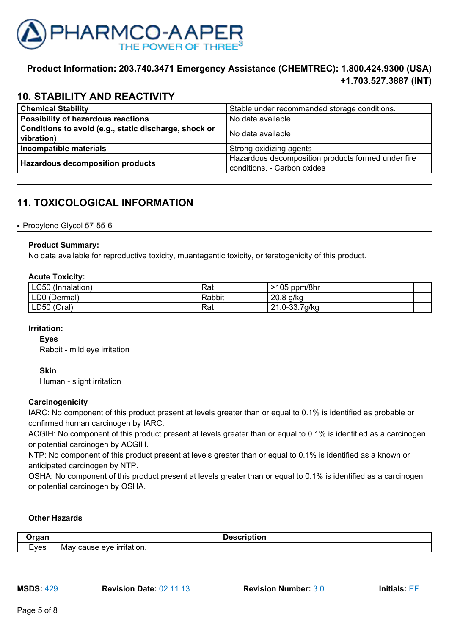

# **10. STABILITY AND REACTIVITY**

| <b>Chemical Stability</b>                                           | Stable under recommended storage conditions.                                      |  |
|---------------------------------------------------------------------|-----------------------------------------------------------------------------------|--|
| Possibility of hazardous reactions                                  | No data available                                                                 |  |
| Conditions to avoid (e.g., static discharge, shock or<br>vibration) | 'No data available                                                                |  |
| Incompatible materials                                              | Strong oxidizing agents                                                           |  |
| <b>Hazardous decomposition products</b>                             | Hazardous decomposition products formed under fire<br>conditions. - Carbon oxides |  |

# **11. TOXICOLOGICAL INFORMATION**

### • Propylene Glycol 57-55-6

### **Product Summary:**

No data available for reproductive toxicity, muantagentic toxicity, or teratogenicity of this product.

### **Acute Toxicity:**

| LC50 (Inhalation) | Rat    | $>105$ ppm/8hr |  |
|-------------------|--------|----------------|--|
| LD0 (Dermal)      | Rabbit | $20.8$ g/kg    |  |
| LD50 (Oral)       | Rat    | 21.0-33.7g/kg  |  |

### **Irritation:**

**Eyes**

Rabbit - mild eye irritation

### **Skin**

Human - slight irritation

### **Carcinogenicity**

IARC: No component of this product present at levels greater than or equal to 0.1% is identified as probable or confirmed human carcinogen by IARC.

ACGIH: No component of this product present at levels greater than or equal to 0.1% is identified as a carcinogen or potential carcinogen by ACGIH.

NTP: No component of this product present at levels greater than or equal to 0.1% is identified as a known or anticipated carcinogen by NTP.

OSHA: No component of this product present at levels greater than or equal to 0.1% is identified as a carcinogen or potential carcinogen by OSHA.

### **Other Hazards**

| -------   | Description                         |
|-----------|-------------------------------------|
| _<br>⊂∨es | cause eve<br>≧ irritation.<br>. Mav |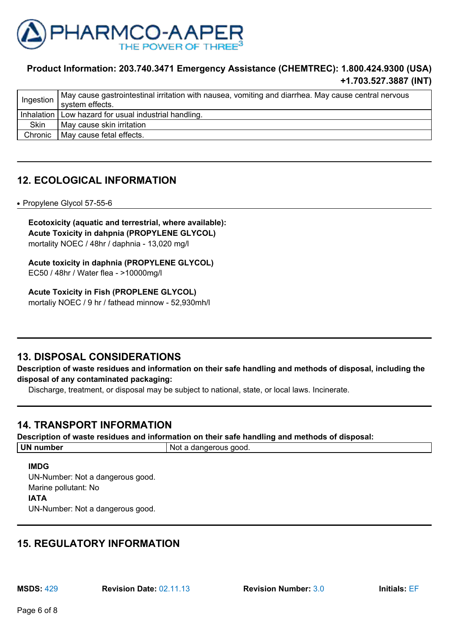

| $'$ Ingestion $_1$ | May cause gastrointestinal irritation with nausea, vomiting and diarrhea. May cause central nervous<br>system effects. |
|--------------------|------------------------------------------------------------------------------------------------------------------------|
|                    | Inhalation   Low hazard for usual industrial handling.                                                                 |
| Skin               | May cause skin irritation                                                                                              |
|                    | Chronic   May cause fetal effects.                                                                                     |

# **12. ECOLOGICAL INFORMATION**

• Propylene Glycol 57-55-6

**Ecotoxicity (aquatic and terrestrial, where available): Acute Toxicity in dahpnia (PROPYLENE GLYCOL)** mortality NOEC / 48hr / daphnia - 13,020 mg/l

**Acute toxicity in daphnia (PROPYLENE GLYCOL)** EC50 / 48hr / Water flea - >10000mg/l

### **Acute Toxicity in Fish (PROPLENE GLYCOL)**

mortaliy NOEC / 9 hr / fathead minnow - 52,930mh/l

## **13. DISPOSAL CONSIDERATIONS**

**Description of waste residues and information on their safe handling and methods of disposal, including the disposal of any contaminated packaging:**

Discharge, treatment, or disposal may be subject to national, state, or local laws. Incinerate.

## **14. TRANSPORT INFORMATION**

**Description of waste residues and information on their safe handling and methods of disposal:**

| <b>UN</b><br>number | aood.<br>. a dangerous<br><b>NOT</b> |
|---------------------|--------------------------------------|
|                     |                                      |

### **IMDG**

UN-Number: Not a dangerous good. Marine pollutant: No **IATA** UN-Number: Not a dangerous good.

# **15. REGULATORY INFORMATION**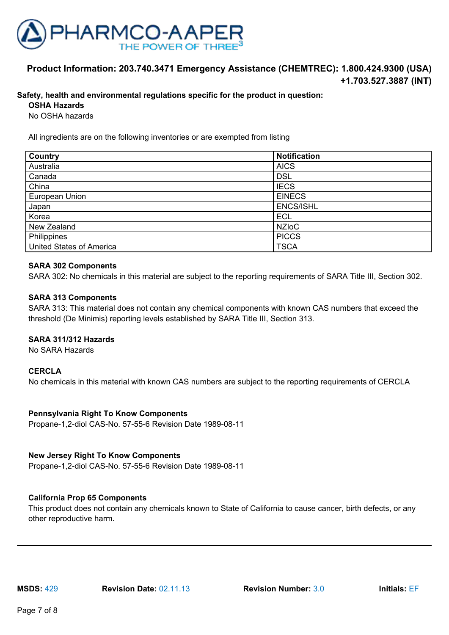

### **Safety, health and environmental regulations specific for the product in question:**

**OSHA Hazards**

No OSHA hazards

All ingredients are on the following inventories or are exempted from listing

| Country                         | <b>Notification</b> |
|---------------------------------|---------------------|
| Australia                       | <b>AICS</b>         |
| Canada                          | <b>DSL</b>          |
| China                           | <b>IECS</b>         |
| European Union                  | <b>EINECS</b>       |
| Japan                           | <b>ENCS/ISHL</b>    |
| Korea                           | <b>ECL</b>          |
| New Zealand                     | <b>NZIOC</b>        |
| Philippines                     | <b>PICCS</b>        |
| <b>United States of America</b> | <b>TSCA</b>         |

#### **SARA 302 Components**

SARA 302: No chemicals in this material are subject to the reporting requirements of SARA Title III, Section 302.

#### **SARA 313 Components**

SARA 313: This material does not contain any chemical components with known CAS numbers that exceed the threshold (De Minimis) reporting levels established by SARA Title III, Section 313.

#### **SARA 311/312 Hazards**

No SARA Hazards

#### **CERCLA**

No chemicals in this material with known CAS numbers are subject to the reporting requirements of CERCLA

#### **Pennsylvania Right To Know Components**

Propane-1,2-diol CAS-No. 57-55-6 Revision Date 1989-08-11

### **New Jersey Right To Know Components**

Propane-1,2-diol CAS-No. 57-55-6 Revision Date 1989-08-11

### **California Prop 65 Components**

This product does not contain any chemicals known to State of California to cause cancer, birth defects, or any other reproductive harm.